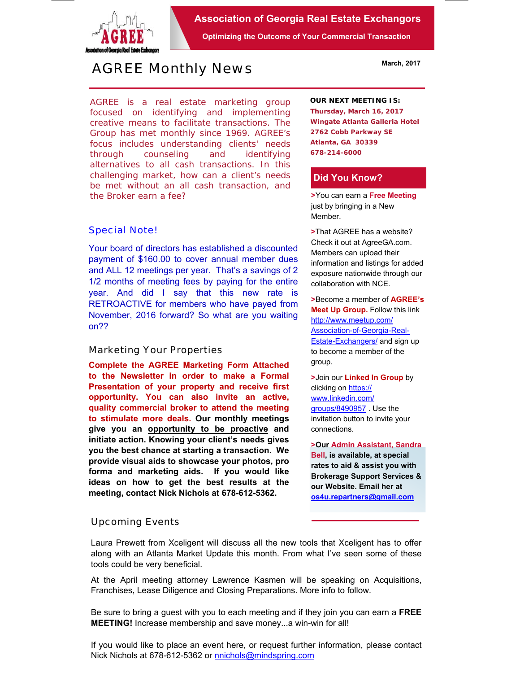

**Association of Georgia Real Estate Exchangors** 

**Optimizing the Outcome of Your Commercial Transaction** 

# *AGREE Monthly News*

AGREE is a real estate marketing group focused on identifying and implementing creative means to facilitate transactions. *The Group has met monthly since 1969.* AGREE's focus includes understanding clients' needs through counseling and identifying alternatives to all cash transactions. In this challenging market, how can a client's needs be met without an all cash transaction, and the Broker earn a fee?

#### *Special Note!*

Your board of directors has established a discounted payment of \$160.00 to cover annual member dues and ALL 12 meetings per year. That's a savings of 2 1/2 months of meeting fees by paying for the entire year. And did I say that this new rate is RETROACTIVE for members who have payed from November, 2016 forward? So what are you waiting on??

#### *Marketing Your Properties*

**Complete the AGREE Marketing Form Attached to the Newsletter in order to make a Formal Presentation of your property and receive first opportunity. You can also invite an active, quality commercial broker to attend the meeting to stimulate more deals. Our monthly meetings give you an opportunity to be proactive and initiate action. Knowing your client's needs gives you the best chance at starting a transaction. We provide visual aids to showcase your photos, pro forma and marketing aids. If you would like ideas on how to get the best results at the meeting, contact Nick Nichols at 678-612-5362.** 

#### **OUR NEXT MEETING IS:**

**Thursday, March 16, 2017 Wingate Atlanta Galleria Hotel 2762 Cobb Parkway SE Atlanta, GA 30339 678-214-6000**

#### **Did You Know?**

**>**You can earn a **Free Meeting** just by bringing in a New Member.

**>**That AGREE has a website? Check it out at AgreeGA.com. Members can upload their information and listings for added exposure nationwide through our collaboration with NCE.

**>**Become a member of **AGREE's Meet Up Group.** Follow this link http://www.meetup.com/ Association-of-Georgia-Real-**Estate-Exchangers/ and sign up** to become a member of the group.

**>**Join our **Linked In Group** by clicking on https:// www.linkedin.com/ groups/8490957 . Use the invitation button to invite your connections.

**>Our Admin Assistant, Sandra Bell, is available, at special rates to aid & assist you with Brokerage Support Services & our Website. Email her at os4u.repartners@gmail.com**

### *Upcoming Events*

Laura Prewett from Xceligent will discuss all the new tools that Xceligent has to offer along with an Atlanta Market Update this month. From what I've seen some of these tools could be very beneficial.

At the April meeting attorney Lawrence Kasmen will be speaking on Acquisitions, Franchises, Lease Diligence and Closing Preparations. More info to follow.

Be sure to bring a guest with you to each meeting and if they join you can earn a **FREE MEETING!** Increase membership and save money...a win-win for all!

If you would like to place an event here, or request further information, please contact Nick Nichols at 678-612-5362 or nnichols@mindspring.com

**March, 2017**